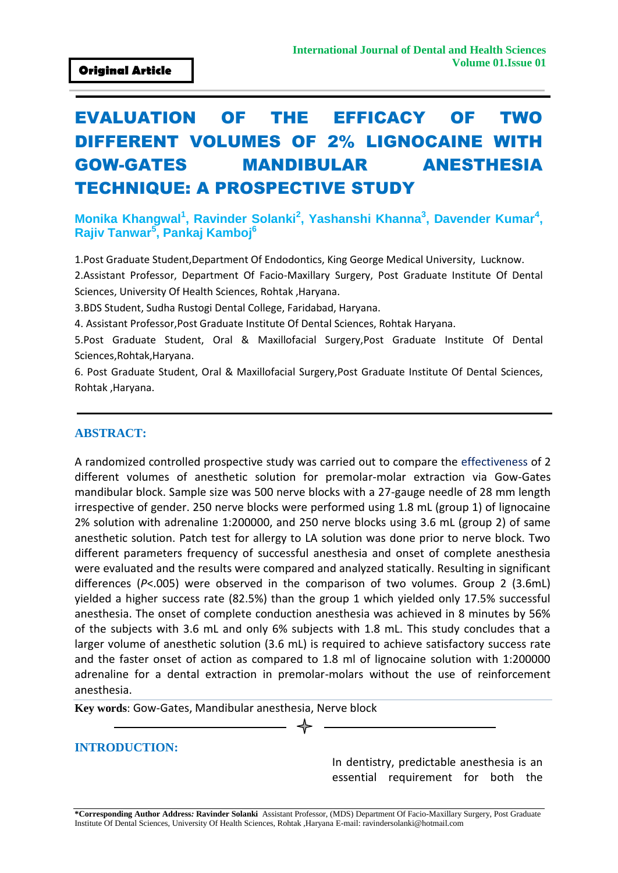# EVALUATION OF THE EFFICACY OF TWO DIFFERENT VOLUMES OF 2% LIGNOCAINE WITH GOW-GATES MANDIBULAR ANESTHESIA TECHNIQUE: A PROSPECTIVE STUDY

#### Monika Khangwal<sup>1</sup>, Ravinder Solanki<sup>2</sup>, Yashanshi Khanna<sup>3</sup>, Davender Kumar<sup>4</sup>, **Rajiv Tanwar<sup>5</sup> , Pankaj Kamboj<sup>6</sup>**

1.Post Graduate Student,Department Of Endodontics, King George Medical University, Lucknow.

2.Assistant Professor, Department Of Facio-Maxillary Surgery, Post Graduate Institute Of Dental Sciences, University Of Health Sciences, Rohtak ,Haryana.

3.BDS Student, Sudha Rustogi Dental College, Faridabad, Haryana.

4. Assistant Professor,Post Graduate Institute Of Dental Sciences, Rohtak Haryana.

5.Post Graduate Student, Oral & Maxillofacial Surgery,Post Graduate Institute Of Dental Sciences,Rohtak,Haryana.

6. Post Graduate Student, Oral & Maxillofacial Surgery,Post Graduate Institute Of Dental Sciences, Rohtak ,Haryana.

#### **ABSTRACT:**

A randomized controlled prospective study was carried out to compare the effectiveness of 2 different volumes of anesthetic solution for premolar-molar extraction via Gow-Gates mandibular block. Sample size was 500 nerve blocks with a 27-gauge needle of 28 mm length irrespective of gender. 250 nerve blocks were performed using 1.8 mL (group 1) of lignocaine 2% solution with adrenaline 1:200000, and 250 nerve blocks using 3.6 mL (group 2) of same anesthetic solution. Patch test for allergy to LA solution was done prior to nerve block. Two different parameters frequency of successful anesthesia and onset of complete anesthesia were evaluated and the results were compared and analyzed statically. Resulting in significant differences (*P*<.005) were observed in the comparison of two volumes. Group 2 (3.6mL) yielded a higher success rate (82.5%) than the group 1 which yielded only 17.5% successful anesthesia. The onset of complete conduction anesthesia was achieved in 8 minutes by 56% of the subjects with 3.6 mL and only 6% subjects with 1.8 mL. This study concludes that a larger volume of anesthetic solution (3.6 mL) is required to achieve satisfactory success rate and the faster onset of action as compared to 1.8 ml of lignocaine solution with 1:200000 adrenaline for a dental extraction in premolar-molars without the use of reinforcement anesthesia.

**Key words**: Gow-Gates, Mandibular anesthesia, Nerve block

#### **INTRODUCTION:**

In dentistry, predictable anesthesia is an essential requirement for both the

**\*Corresponding Author Address***:* **Ravinder Solanki** Assistant Professor, (MDS) Department Of Facio-Maxillary Surgery, Post Graduate Institute Of Dental Sciences, University Of Health Sciences, Rohtak ,Haryana E-mail: [ravindersolanki@hotmail.com](mailto:ravindersolanki@hotmail.com)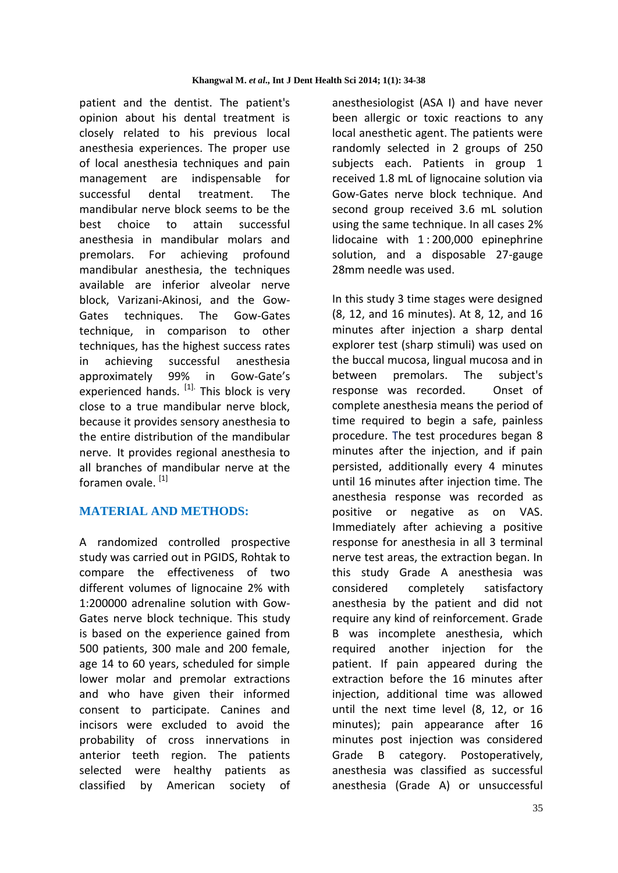patient and the dentist. The patient's opinion about his dental treatment is closely related to his previous local anesthesia experiences. The proper use of local anesthesia techniques and pain management are indispensable for successful dental treatment. The mandibular nerve block seems to be the best choice to attain successful anesthesia in mandibular molars and premolars. For achieving profound mandibular anesthesia, the techniques available are inferior alveolar nerve block, Varizani-Akinosi, and the Gow-Gates techniques. The Gow-Gates technique, in comparison to other techniques, has the highest success rates in achieving successful anesthesia approximately 99% in Gow-Gate's experienced hands. <sup>[1].</sup> This block is very close to a true mandibular nerve block, because it provides sensory anesthesia to the entire distribution of the mandibular nerve. It provides regional anesthesia to all branches of mandibular nerve at the foramen ovale. <sup>[1]</sup>

# **MATERIAL AND METHODS:**

A randomized controlled prospective study was carried out in PGIDS, Rohtak to compare the effectiveness of two different volumes of lignocaine 2% with 1:200000 adrenaline solution with Gow-Gates nerve block technique. This study is based on the experience gained from 500 patients, 300 male and 200 female, age 14 to 60 years, scheduled for simple lower molar and premolar extractions and who have given their informed consent to participate. Canines and incisors were excluded to avoid the probability of cross innervations in anterior teeth region. The patients selected were healthy patients as classified by American society of anesthesiologist (ASA I) and have never been allergic or toxic reactions to any local anesthetic agent. The patients were randomly selected in 2 groups of 250 subjects each. Patients in group 1 received 1.8 mL of lignocaine solution via Gow-Gates nerve block technique. And second group received 3.6 mL solution using the same technique. In all cases 2% lidocaine with 1:200,000 epinephrine solution, and a disposable 27-gauge 28mm needle was used.

In this study 3 time stages were designed (8, 12, and 16 minutes). At 8, 12, and 16 minutes after injection a sharp dental explorer test (sharp stimuli) was used on the buccal mucosa, lingual mucosa and in between premolars. The subject's response was recorded. Onset of complete anesthesia means the period of time required to begin a safe, painless procedure. The test procedures began 8 minutes after the injection, and if pain persisted, additionally every 4 minutes until 16 minutes after injection time. The anesthesia response was recorded as positive or negative as on VAS. Immediately after achieving a positive response for anesthesia in all 3 terminal nerve test areas, the extraction began. In this study Grade A anesthesia was considered completely satisfactory anesthesia by the patient and did not require any kind of reinforcement. Grade B was incomplete anesthesia, which required another injection for the patient. If pain appeared during the extraction before the 16 minutes after injection, additional time was allowed until the next time level (8, 12, or 16 minutes); pain appearance after 16 minutes post injection was considered Grade B category. Postoperatively, anesthesia was classified as successful anesthesia (Grade A) or unsuccessful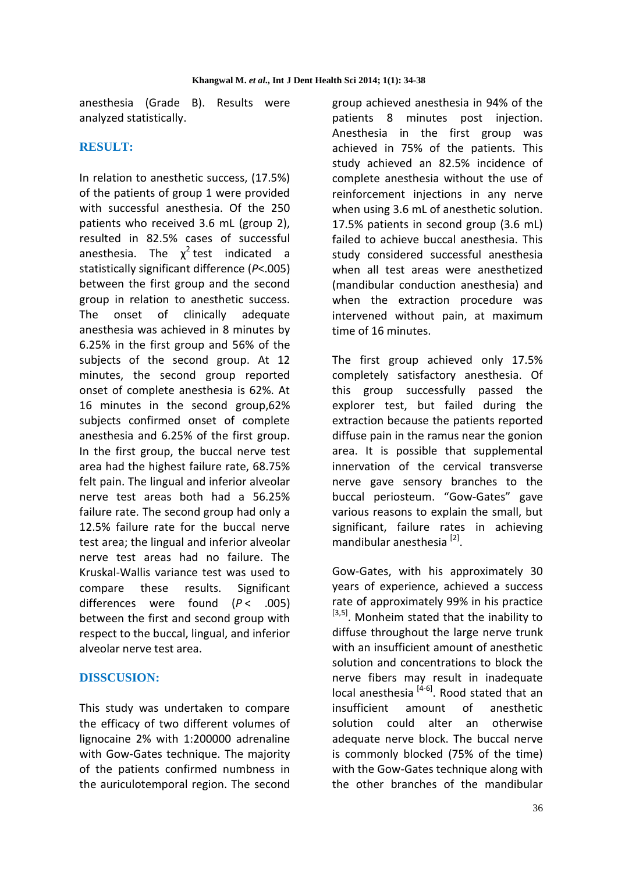anesthesia (Grade B). Results were analyzed statistically.

### **RESULT:**

In relation to anesthetic success, (17.5%) of the patients of group 1 were provided with successful anesthesia. Of the 250 patients who received 3.6 mL (group 2), resulted in 82.5% cases of successful anesthesia. The  $\chi^2$ test indicated a statistically significant difference (*P*<.005) between the first group and the second group in relation to anesthetic success. The onset of clinically adequate anesthesia was achieved in 8 minutes by 6.25% in the first group and 56% of the subjects of the second group. At 12 minutes, the second group reported onset of complete anesthesia is 62%. At 16 minutes in the second group,62% subjects confirmed onset of complete anesthesia and 6.25% of the first group. In the first group, the buccal nerve test area had the highest failure rate, 68.75% felt pain. The lingual and inferior alveolar nerve test areas both had a 56.25% failure rate. The second group had only a 12.5% failure rate for the buccal nerve test area; the lingual and inferior alveolar nerve test areas had no failure. The Kruskal-Wallis variance test was used to compare these results. Significant differences were found (*P* < .005) between the first and second group with respect to the buccal, lingual, and inferior alveolar nerve test area.

#### **DISSCUSION:**

This study was undertaken to compare the efficacy of two different volumes of lignocaine 2% with 1:200000 adrenaline with Gow-Gates technique. The majority of the patients confirmed numbness in the auriculotemporal region. The second

group achieved anesthesia in 94% of the patients 8 minutes post injection. Anesthesia in the first group was achieved in 75% of the patients. This study achieved an 82.5% incidence of complete anesthesia without the use of reinforcement injections in any nerve when using 3.6 mL of anesthetic solution. 17.5% patients in second group (3.6 mL) failed to achieve buccal anesthesia. This study considered successful anesthesia when all test areas were anesthetized (mandibular conduction anesthesia) and when the extraction procedure was intervened without pain, at maximum time of 16 minutes.

The first group achieved only 17.5% completely satisfactory anesthesia. Of this group successfully passed the explorer test, but failed during the extraction because the patients reported diffuse pain in the ramus near the gonion area. It is possible that supplemental innervation of the cervical transverse nerve gave sensory branches to the buccal periosteum. "Gow-Gates" gave various reasons to explain the small, but significant, failure rates in achieving mandibular anesthesia<sup>[2]</sup>.

Gow-Gates, with his approximately 30 years of experience, achieved a success rate of approximately 99% in his practice [3,5]. Monheim stated that the inability to diffuse throughout the large nerve trunk with an insufficient amount of anesthetic solution and concentrations to block the nerve fibers may result in inadequate local anesthesia  $[4-6]$ . Rood stated that an insufficient amount of anesthetic solution could alter an otherwise adequate nerve block. The buccal nerve is commonly blocked (75% of the time) with the Gow-Gates technique along with the other branches of the mandibular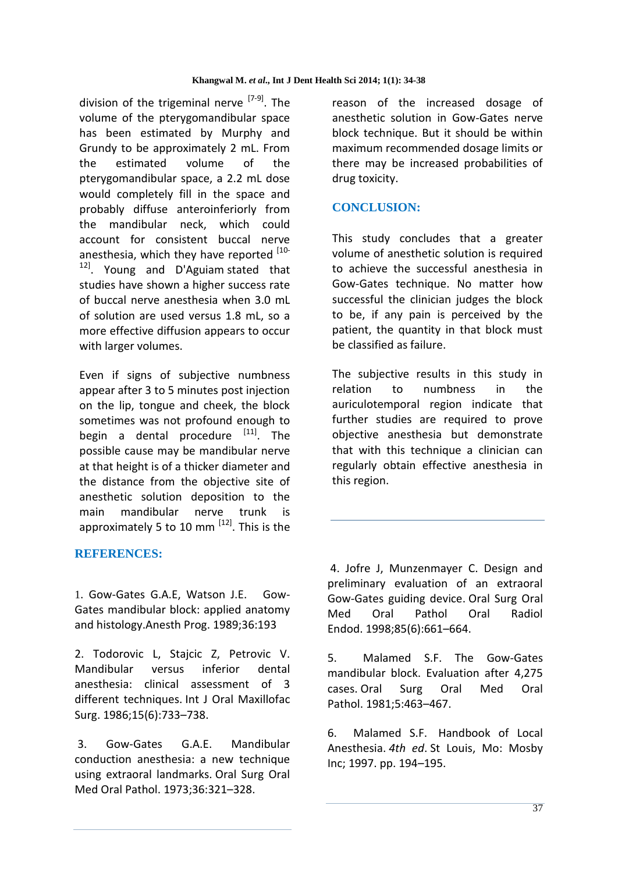division of the trigeminal nerve  $[7-9]$ . The volume of the pterygomandibular space has been estimated by Murphy and Grundy to be approximately 2 mL. From the estimated volume of the pterygomandibular space, a 2.2 mL dose would completely fill in the space and probably diffuse anteroinferiorly from the mandibular neck, which could account for consistent buccal nerve anesthesia, which they have reported [10- $12$ . Young and D'Aguiam stated that studies have shown a higher success rate of buccal nerve anesthesia when 3.0 mL of solution are used versus 1.8 mL, so a more effective diffusion appears to occur with larger volumes.

Even if signs of subjective numbness appear after 3 to 5 minutes post injection on the lip, tongue and cheek, the block sometimes was not profound enough to begin a dental procedure  $[11]$ . The possible cause may be mandibular nerve at that height is of a thicker diameter and the distance from the objective site of anesthetic solution deposition to the main mandibular nerve trunk is approximately 5 to 10 mm <sup>[12]</sup>. This is the

#### **REFERENCES:**

1. Gow-Gates G.A.E, Watson J.E. Gow-Gates mandibular block: applied anatomy and histology.Anesth Prog. 1989;36:193

2. Todorovic L, Stajcic Z, Petrovic V. Mandibular versus inferior dental anesthesia: clinical assessment of 3 different techniques. Int J Oral Maxillofac Surg. 1986;15(6):733–738.

3. Gow-Gates G.A.E. Mandibular conduction anesthesia: a new technique using extraoral landmarks. Oral Surg Oral Med Oral Pathol. 1973;36:321–328.

reason of the increased dosage of anesthetic solution in Gow-Gates nerve block technique. But it should be within maximum recommended dosage limits or there may be increased probabilities of drug toxicity.

# **CONCLUSION:**

This study concludes that a greater volume of anesthetic solution is required to achieve the successful anesthesia in Gow-Gates technique. No matter how successful the clinician judges the block to be, if any pain is perceived by the patient, the quantity in that block must be classified as failure.

The subjective results in this study in relation to numbness in the auriculotemporal region indicate that further studies are required to prove objective anesthesia but demonstrate that with this technique a clinician can regularly obtain effective anesthesia in this region.

4. Jofre J, Munzenmayer C. Design and preliminary evaluation of an extraoral Gow-Gates guiding device. Oral Surg Oral Med Oral Pathol Oral Radiol Endod. 1998;85(6):661–664.

5. Malamed S.F. The Gow-Gates mandibular block. Evaluation after 4,275 cases. Oral Surg Oral Med Oral Pathol. 1981;5:463–467.

6. Malamed S.F. Handbook of Local Anesthesia. *4th ed*. St Louis, Mo: Mosby Inc; 1997. pp. 194–195.